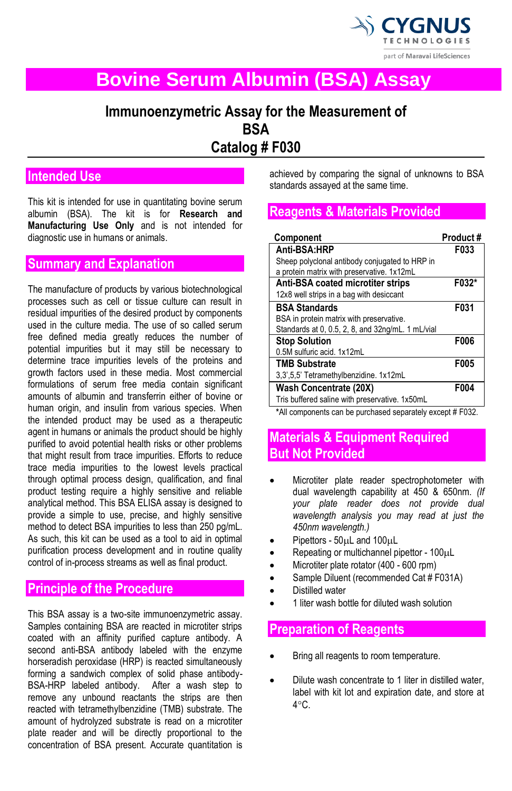

# **Bovine Serum Albumin (BSA) Assay**

# **Immunoenzymetric Assay for the Measurement of BSA Catalog # F030**

# **Intended Use**

This kit is intended for use in quantitating bovine serum albumin (BSA). The kit is for **Research and Manufacturing Use Only** and is not intended for diagnostic use in humans or animals.

## **Summary and Explanation**

The manufacture of products by various biotechnological processes such as cell or tissue culture can result in residual impurities of the desired product by components used in the culture media. The use of so called serum free defined media greatly reduces the number of potential impurities but it may still be necessary to determine trace impurities levels of the proteins and growth factors used in these media. Most commercial formulations of serum free media contain significant amounts of albumin and transferrin either of bovine or human origin, and insulin from various species. When the intended product may be used as a therapeutic agent in humans or animals the product should be highly purified to avoid potential health risks or other problems that might result from trace impurities. Efforts to reduce trace media impurities to the lowest levels practical through optimal process design, qualification, and final product testing require a highly sensitive and reliable analytical method. This BSA ELISA assay is designed to provide a simple to use, precise, and highly sensitive method to detect BSA impurities to less than 250 pg/mL. As such, this kit can be used as a tool to aid in optimal purification process development and in routine quality control of in-process streams as well as final product.

## **Principle of the Procedure**

This BSA assay is a two-site immunoenzymetric assay. Samples containing BSA are reacted in microtiter strips coated with an affinity purified capture antibody. A second anti-BSA antibody labeled with the enzyme horseradish peroxidase (HRP) is reacted simultaneously forming a sandwich complex of solid phase antibody-BSA-HRP labeled antibody. After a wash step to remove any unbound reactants the strips are then reacted with tetramethylbenzidine (TMB) substrate. The amount of hydrolyzed substrate is read on a microtiter plate reader and will be directly proportional to the concentration of BSA present. Accurate quantitation is

achieved by comparing the signal of unknowns to BSA standards assayed at the same time.

## **Reagents & Materials Provided**

| Component                                         | Product# |
|---------------------------------------------------|----------|
| Anti-BSA HRP                                      | F033     |
| Sheep polyclonal antibody conjugated to HRP in    |          |
| a protein matrix with preservative. 1x12mL        |          |
| Anti-BSA coated microtiter strips                 | F032*    |
| 12x8 well strips in a bag with desiccant          |          |
| <b>BSA Standards</b>                              | F031     |
| BSA in protein matrix with preservative.          |          |
| Standards at 0, 0.5, 2, 8, and 32ng/mL. 1 mL/vial |          |
| <b>Stop Solution</b>                              | F006     |
| 0.5M sulfuric acid. 1x12mL                        |          |
| <b>TMB Substrate</b>                              | F005     |
| 3,3',5,5' Tetramethylbenzidine. 1x12mL            |          |
| <b>Wash Concentrate (20X)</b>                     | F004     |
| Tris buffered saline with preservative. 1x50mL    |          |

**\***All components can be purchased separately except # F032.

# **Materials & Equipment Required But Not Provided**

- Microtiter plate reader spectrophotometer with dual wavelength capability at 450 & 650nm. *(If your plate reader does not provide dual wavelength analysis you may read at just the 450nm wavelength.)*
- Pipettors 50uL and 100uL
- Repeating or multichannel pipettor 100µL
- Microtiter plate rotator (400 600 rpm)
- Sample Diluent (recommended Cat # F031A)
- Distilled water
- 1 liter wash bottle for diluted wash solution

## **Preparation of Reagents**

- Bring all reagents to room temperature.
- Dilute wash concentrate to 1 liter in distilled water. label with kit lot and expiration date, and store at  $4^{\circ}$ C.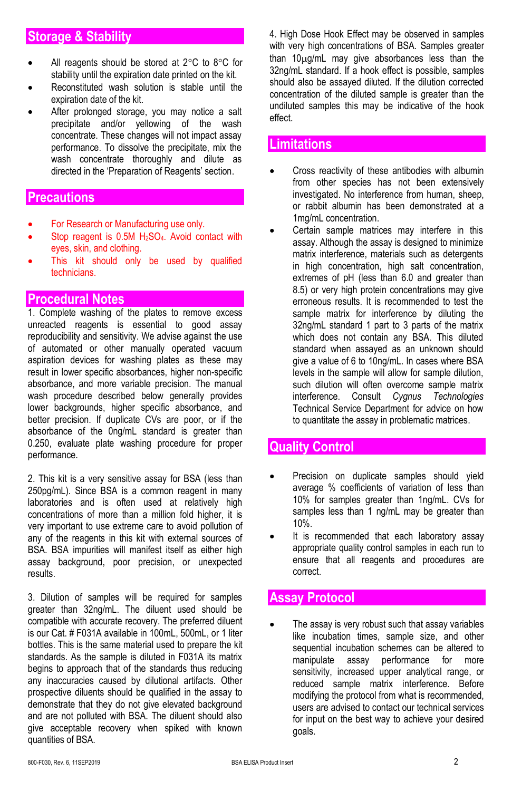# **Storage & Stability**

- All reagents should be stored at  $2^{\circ}$ C to  $8^{\circ}$ C for stability until the expiration date printed on the kit.
- Reconstituted wash solution is stable until the expiration date of the kit.
- After prolonged storage, you may notice a salt precipitate and/or yellowing of the wash concentrate. These changes will not impact assay performance. To dissolve the precipitate, mix the wash concentrate thoroughly and dilute as directed in the 'Preparation of Reagents' section.

#### **Precautions**

- For Research or Manufacturing use only.
- Stop reagent is 0.5M H<sub>2</sub>SO<sub>4</sub>. Avoid contact with eyes, skin, and clothing.
- This kit should only be used by qualified technicians.

#### **Procedural Notes**

1. Complete washing of the plates to remove excess unreacted reagents is essential to good assay reproducibility and sensitivity. We advise against the use of automated or other manually operated vacuum aspiration devices for washing plates as these may result in lower specific absorbances, higher non-specific absorbance, and more variable precision. The manual wash procedure described below generally provides lower backgrounds, higher specific absorbance, and better precision. If duplicate CVs are poor, or if the absorbance of the 0ng/mL standard is greater than 0.250, evaluate plate washing procedure for proper performance.

2. This kit is a very sensitive assay for BSA (less than 250pg/mL). Since BSA is a common reagent in many laboratories and is often used at relatively high concentrations of more than a million fold higher, it is very important to use extreme care to avoid pollution of any of the reagents in this kit with external sources of BSA. BSA impurities will manifest itself as either high assay background, poor precision, or unexpected results.

3. Dilution of samples will be required for samples greater than 32ng/mL. The diluent used should be compatible with accurate recovery. The preferred diluent is our Cat. # F031A available in 100mL, 500mL, or 1 liter bottles. This is the same material used to prepare the kit standards. As the sample is diluted in F031A its matrix begins to approach that of the standards thus reducing any inaccuracies caused by dilutional artifacts. Other prospective diluents should be qualified in the assay to demonstrate that they do not give elevated background and are not polluted with BSA. The diluent should also give acceptable recovery when spiked with known quantities of BSA.

4. High Dose Hook Effect may be observed in samples with very high concentrations of BSA. Samples greater than 10µg/mL may give absorbances less than the 32ng/mL standard. If a hook effect is possible, samples should also be assayed diluted. If the dilution corrected concentration of the diluted sample is greater than the undiluted samples this may be indicative of the hook effect.

#### **Limitations**

- Cross reactivity of these antibodies with albumin from other species has not been extensively investigated. No interference from human, sheep, or rabbit albumin has been demonstrated at a 1mg/mL concentration.
- Certain sample matrices may interfere in this assay. Although the assay is designed to minimize matrix interference, materials such as detergents in high concentration, high salt concentration, extremes of pH (less than 6.0 and greater than 8.5) or very high protein concentrations may give erroneous results. It is recommended to test the sample matrix for interference by diluting the 32ng/mL standard 1 part to 3 parts of the matrix which does not contain any BSA. This diluted standard when assayed as an unknown should give a value of 6 to 10ng/mL. In cases where BSA levels in the sample will allow for sample dilution, such dilution will often overcome sample matrix interference. Consult *Cygnus Technologies* Technical Service Department for advice on how to quantitate the assay in problematic matrices.

## **Quality Control**

- Precision on duplicate samples should yield average % coefficients of variation of less than 10% for samples greater than 1ng/mL. CVs for samples less than 1 ng/mL may be greater than 10%.
- It is recommended that each laboratory assay appropriate quality control samples in each run to ensure that all reagents and procedures are correct.

### **Assay Protocol**

The assay is very robust such that assay variables like incubation times, sample size, and other sequential incubation schemes can be altered to manipulate assay performance for more sensitivity, increased upper analytical range, or reduced sample matrix interference. Before modifying the protocol from what is recommended, users are advised to contact our technical services for input on the best way to achieve your desired goals.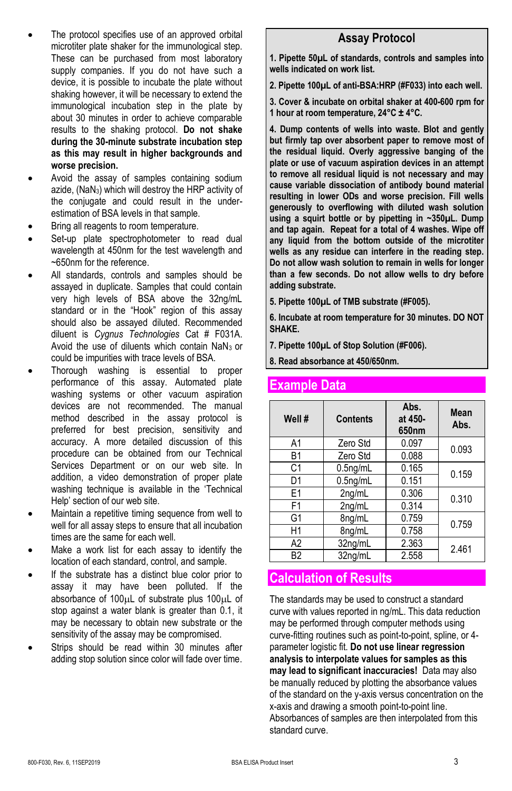- The protocol specifies use of an approved orbital microtiter plate shaker for the immunological step. These can be purchased from most laboratory supply companies. If you do not have such a device, it is possible to incubate the plate without shaking however, it will be necessary to extend the immunological incubation step in the plate by about 30 minutes in order to achieve comparable results to the shaking protocol. **Do not shake during the 30-minute substrate incubation step as this may result in higher backgrounds and worse precision.**
- Avoid the assay of samples containing sodium azide, (NaN3) which will destroy the HRP activity of the conjugate and could result in the underestimation of BSA levels in that sample.
- Bring all reagents to room temperature.
- Set-up plate spectrophotometer to read dual wavelength at 450nm for the test wavelength and ~650nm for the reference.
- All standards, controls and samples should be assayed in duplicate. Samples that could contain very high levels of BSA above the 32ng/mL standard or in the "Hook" region of this assay should also be assayed diluted. Recommended diluent is *Cygnus Technologies* Cat # F031A. Avoid the use of diluents which contain  $N_3$  or could be impurities with trace levels of BSA.
- Thorough washing is essential to proper performance of this assay. Automated plate washing systems or other vacuum aspiration devices are not recommended. The manual method described in the assay protocol is preferred for best precision, sensitivity and accuracy. A more detailed discussion of this procedure can be obtained from our Technical Services Department or on our web site. In addition, a video demonstration of proper plate washing technique is available in the 'Technical Help' section of our web site.
- Maintain a repetitive timing sequence from well to well for all assay steps to ensure that all incubation times are the same for each well.
- Make a work list for each assay to identify the location of each standard, control, and sample.
- If the substrate has a distinct blue color prior to assay it may have been polluted. If the absorbance of 100µL of substrate plus 100µL of stop against a water blank is greater than 0.1, it may be necessary to obtain new substrate or the sensitivity of the assay may be compromised.
- Strips should be read within 30 minutes after adding stop solution since color will fade over time.

#### **Assay Protocol**

**1. Pipette 50µL of standards, controls and samples into wells indicated on work list.**

**2. Pipette 100µL of anti-BSA:HRP (#F033) into each well.**

**3. Cover & incubate on orbital shaker at 400-600 rpm for 1 hour at room temperature, 24°C ± 4°C.**

**4. Dump contents of wells into waste. Blot and gently but firmly tap over absorbent paper to remove most of the residual liquid. Overly aggressive banging of the plate or use of vacuum aspiration devices in an attempt to remove all residual liquid is not necessary and may cause variable dissociation of antibody bound material resulting in lower ODs and worse precision. Fill wells generously to overflowing with diluted wash solution using a squirt bottle or by pipetting in ~350µL. Dump and tap again. Repeat for a total of 4 washes. Wipe off any liquid from the bottom outside of the microtiter wells as any residue can interfere in the reading step. Do not allow wash solution to remain in wells for longer than a few seconds. Do not allow wells to dry before adding substrate.**

**5. Pipette 100µL of TMB substrate (#F005).** 

**6. Incubate at room temperature for 30 minutes. DO NOT SHAKE.**

**7. Pipette 100µL of Stop Solution (#F006).**

**8. Read absorbance at 450/650nm.**

## **Example Data**

| Well # | <b>Contents</b> | Abs.<br>at 450-<br>650 <sub>nm</sub> | Mean<br>Abs. |  |
|--------|-----------------|--------------------------------------|--------------|--|
| A1     | Zero Std        | 0.097                                | 0.093        |  |
| B1     | Zero Std        | 0.088                                |              |  |
| C1     | $0.5$ ng/mL     | 0.165                                | 0.159        |  |
| D1     | $0.5$ ng/mL     | 0.151                                |              |  |
| E1     | 2ng/mL          | 0.306                                | 0.310        |  |
| F1     | 2ng/mL          | 0.314                                |              |  |
| G1     | 8ng/mL          | 0.759                                | 0.759        |  |
| H1     | 8ng/mL          | 0.758                                |              |  |
| A2     | 32ng/mL         | 2.363                                | 2.461        |  |
| B2     | 32ng/mL         | 2.558                                |              |  |

## **Calculation of Results**

The standards may be used to construct a standard curve with values reported in ng/mL. This data reduction may be performed through computer methods using curve-fitting routines such as point-to-point, spline, or 4 parameter logistic fit. **Do not use linear regression analysis to interpolate values for samples as this may lead to significant inaccuracies!** Data may also be manually reduced by plotting the absorbance values of the standard on the y-axis versus concentration on the x-axis and drawing a smooth point-to-point line. Absorbances of samples are then interpolated from this standard curve.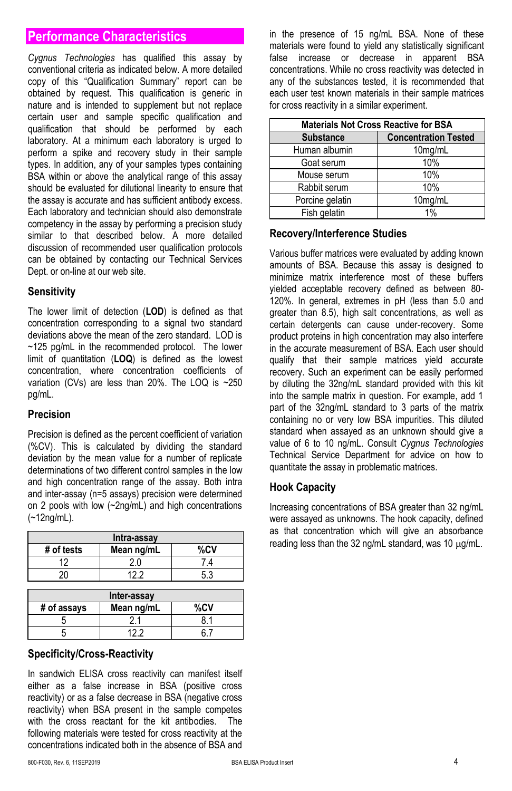# **Performance Characteristics**

*Cygnus Technologies* has qualified this assay by conventional criteria as indicated below. A more detailed copy of this "Qualification Summary" report can be obtained by request. This qualification is generic in nature and is intended to supplement but not replace certain user and sample specific qualification and qualification that should be performed by each laboratory. At a minimum each laboratory is urged to perform a spike and recovery study in their sample types. In addition, any of your samples types containing BSA within or above the analytical range of this assay should be evaluated for dilutional linearity to ensure that the assay is accurate and has sufficient antibody excess. Each laboratory and technician should also demonstrate competency in the assay by performing a precision study similar to that described below. A more detailed discussion of recommended user qualification protocols can be obtained by contacting our Technical Services Dept. or on-line at our web site.

#### **Sensitivity**

The lower limit of detection (**LOD**) is defined as that concentration corresponding to a signal two standard deviations above the mean of the zero standard. LOD is ~125 pg/mL in the recommended protocol. The lower limit of quantitation (**LOQ**) is defined as the lowest concentration, where concentration coefficients of variation (CVs) are less than 20%. The LOQ is ~250 pg/mL.

#### **Precision**

Precision is defined as the percent coefficient of variation (%CV). This is calculated by dividing the standard deviation by the mean value for a number of replicate determinations of two different control samples in the low and high concentration range of the assay. Both intra and inter-assay (n=5 assays) precision were determined on 2 pools with low (~2ng/mL) and high concentrations (~12ng/mL).

| Intra-assay |            |     |
|-------------|------------|-----|
| # of tests  | Mean ng/mL | %CV |
| 12          | ን በ        |     |
|             | 122        | 53  |
|             |            |     |
| Inter-assav |            |     |

| Inter-assay |            |     |
|-------------|------------|-----|
| # of assays | Mean ng/mL | %CV |
|             |            |     |
|             |            |     |

#### **Specificity/Cross-Reactivity**

In sandwich ELISA cross reactivity can manifest itself either as a false increase in BSA (positive cross reactivity) or as a false decrease in BSA (negative cross reactivity) when BSA present in the sample competes with the cross reactant for the kit antibodies. The following materials were tested for cross reactivity at the concentrations indicated both in the absence of BSA and

in the presence of 15 ng/mL BSA. None of these materials were found to yield any statistically significant false increase or decrease in apparent BSA concentrations. While no cross reactivity was detected in any of the substances tested, it is recommended that each user test known materials in their sample matrices for cross reactivity in a similar experiment.

| <b>Materials Not Cross Reactive for BSA</b> |                             |  |  |
|---------------------------------------------|-----------------------------|--|--|
| <b>Substance</b>                            | <b>Concentration Tested</b> |  |  |
| Human albumin                               | 10mg/mL                     |  |  |
| Goat serum                                  | 10%                         |  |  |
| Mouse serum                                 | 10%                         |  |  |
| Rabbit serum                                | 10%                         |  |  |
| Porcine gelatin                             | 10mg/mL                     |  |  |
| Fish gelatin                                | 1%                          |  |  |

#### **Recovery/Interference Studies**

Various buffer matrices were evaluated by adding known amounts of BSA. Because this assay is designed to minimize matrix interference most of these buffers yielded acceptable recovery defined as between 80- 120%. In general, extremes in pH (less than 5.0 and greater than 8.5), high salt concentrations, as well as certain detergents can cause under-recovery. Some product proteins in high concentration may also interfere in the accurate measurement of BSA. Each user should qualify that their sample matrices yield accurate recovery. Such an experiment can be easily performed by diluting the 32ng/mL standard provided with this kit into the sample matrix in question. For example, add 1 part of the 32ng/mL standard to 3 parts of the matrix containing no or very low BSA impurities. This diluted standard when assayed as an unknown should give a value of 6 to 10 ng/mL. Consult *Cygnus Technologies* Technical Service Department for advice on how to quantitate the assay in problematic matrices.

#### **Hook Capacity**

Increasing concentrations of BSA greater than 32 ng/mL were assayed as unknowns. The hook capacity, defined as that concentration which will give an absorbance reading less than the 32 ng/mL standard, was 10  $\mu$ g/mL.